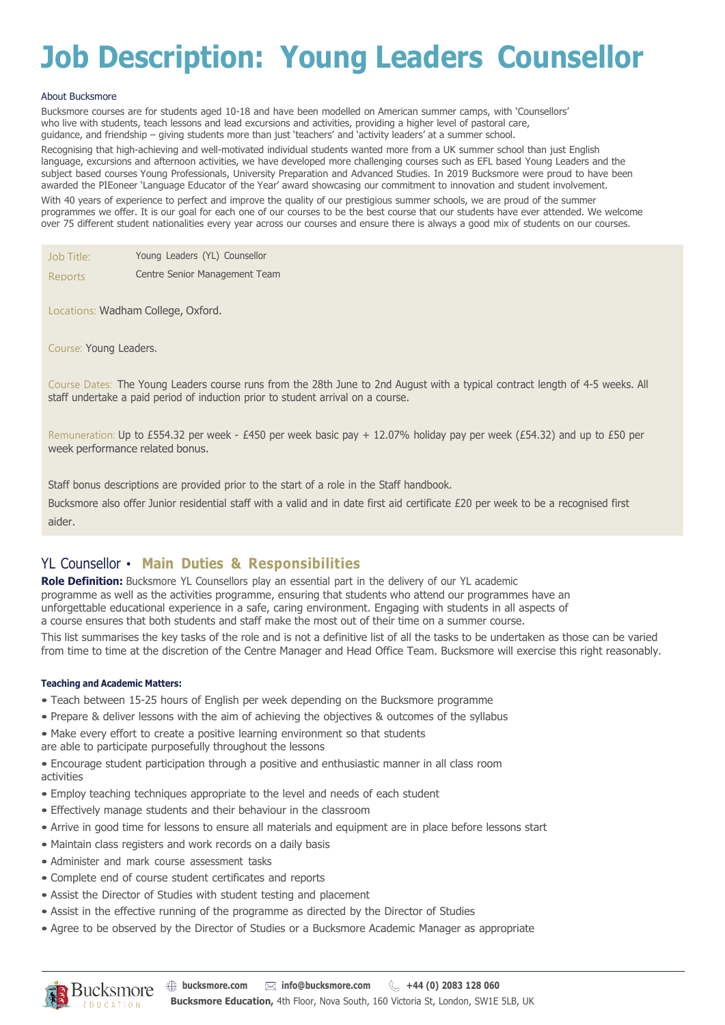## **Job Description: Young Leaders Counsellor**

#### About Bucksmore

Bucksmore courses are for students aged 10-18 and have been modelled on American summer camps, with 'Counsellors' who live with students, teach lessons and lead excursions and activities, providing a higher level of pastoral care, guidance, and friendship – giving students more than just 'teachers' and 'activity leaders' at a summer school.

Recognising that high-achieving and well-motivated individual students wanted more from a UK summer school than just English language, excursions and afternoon activities, we have developed more challenging courses such as EFL based Young Leaders and the subject based courses Young Professionals, University Preparation and Advanced Studies. In 2019 Bucksmore were proud to have been awarded the PIEoneer 'Language Educator of the Year' award showcasing our commitment to innovation and student involvement. With 40 years of experience to perfect and improve the quality of our prestigious summer schools, we are proud of the summer programmes we offer. It is our goal for each one of our courses to be the best course that our students have ever attended. We welcome

over 75 different student nationalities every year across our courses and ensure there is always a good mix of students on our courses.

Job Title: Young Leaders (YL) Counsellor

Reports Centre Senior Management Team

Locations: Wadham College, Oxford.

Course: Young Leaders.

Course Dates: The Young Leaders course runs from the 28th June to 2nd August with a typical contract length of 4-5 weeks. All staff undertake a paid period of induction prior to student arrival on a course.

Remuneration: Up to £554.32 per week - £450 per week basic pay + 12.07% holiday pay per week (£54.32) and up to £50 per week performance related bonus.

Staff bonus descriptions are provided prior to the start of a role in the Staff handbook.

Bucksmore also offer Junior residential staff with a valid and in date first aid certificate £20 per week to be a recognised first aider.

### YL Counsellor • **Main Duties & Responsibilities**

**Role Definition:** Bucksmore YL Counsellors play an essential part in the delivery of our YL academic programme as well as the activities programme, ensuring that students who attend our programmes have an unforgettable educational experience in a safe, caring environment. Engaging with students in all aspects of a course ensures that both students and staff make the most out of their time on a summer course.

This list summarises the key tasks of the role and is not a definitive list of all the tasks to be undertaken as those can be varied from time to time at the discretion of the Centre Manager and Head Office Team. Bucksmore will exercise this right reasonably.

#### **Teaching and Academic Matters:**

- Teach between 15-25 hours of English per week depending on the Bucksmore programme
- Prepare & deliver lessons with the aim of achieving the objectives & outcomes of the syllabus
- Make every effort to create a positive learning environment so that students
- are able to participate purposefully throughout the lessons

• Encourage student participation through a positive and enthusiastic manner in all class room activities

- Employ teaching techniques appropriate to the level and needs of each student
- Effectively manage students and their behaviour in the classroom
- Arrive in good time for lessons to ensure all materials and equipment are in place before lessons start
- Maintain class registers and work records on a daily basis
- Administer and mark course assessment tasks
- Complete end of course student certificates and reports
- Assist the Director of Studies with student testing and placement
- Assist in the effective running of the programme as directed by the Director of Studies
- Agree to be observed by the Director of Studies or a Bucksmore Academic Manager as appropriate

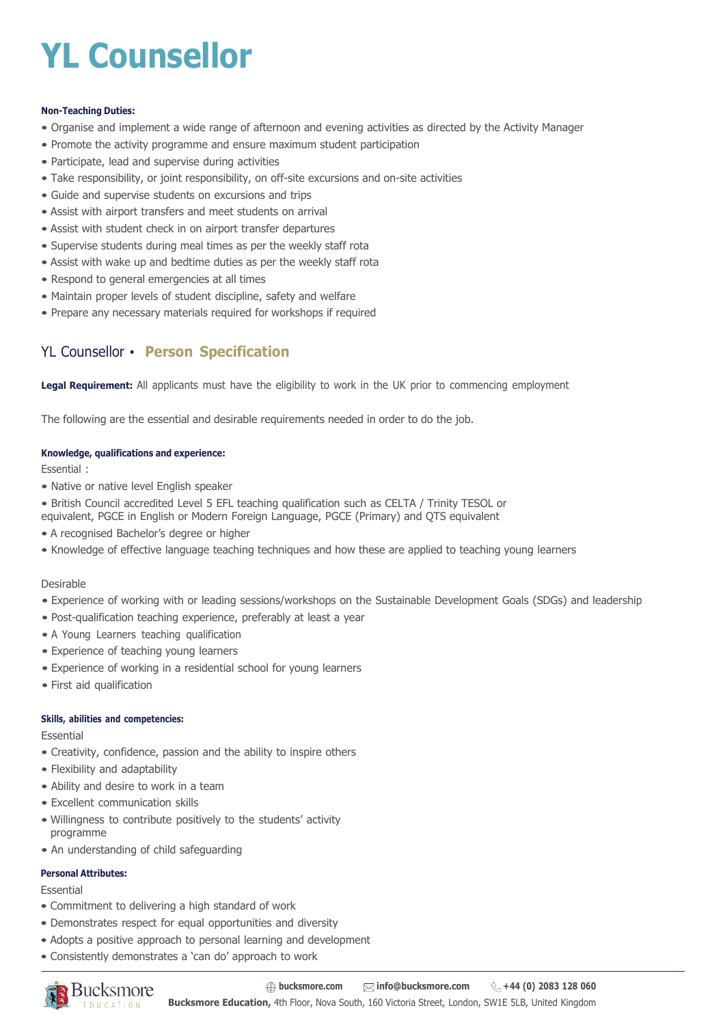# **YL Counsellor**

#### **Non-Teaching Duties:**

- Organise and implement a wide range of afternoon and evening activities as directed by the Activity Manager
- Promote the activity programme and ensure maximum student participation
- Participate, lead and supervise during activities
- Take responsibility, or joint responsibility, on off-site excursions and on-site activities
- Guide and supervise students on excursions and trips
- Assist with airport transfers and meet students on arrival
- Assist with student check in on airport transfer departures
- Supervise students during meal times as per the weekly staff rota
- Assist with wake up and bedtime duties as per the weekly staff rota
- Respond to general emergencies at all times
- Maintain proper levels of student discipline, safety and welfare
- Prepare any necessary materials required for workshops if required

## YL Counsellor • **Person Specification**

**Legal Requirement:** All applicants must have the eligibility to work in the UK prior to commencing employment

The following are the essential and desirable requirements needed in order to do the job.

#### **Knowledge, qualifications and experience:**

Essential :

- Native or native level English speaker
- British Council accredited Level 5 EFL teaching qualification such as CELTA / Trinity TESOL or
- equivalent, PGCE in English or Modern Foreign Language, PGCE (Primary) and QTS equivalent
- A recognised Bachelor's degree or higher
- Knowledge of effective language teaching techniques and how these are applied to teaching young learners

#### Desirable

- Experience of working with or leading sessions/workshops on the Sustainable Development Goals (SDGs) and leadership
- Post-qualification teaching experience, preferably at least a year
- A Young Learners teaching qualification
- Experience of teaching young learners
- Experience of working in a residential school for young learners
- First aid qualification

#### **Skills, abilities and competencies:**

Essential

- Creativity, confidence, passion and the ability to inspire others
- Flexibility and adaptability
- Ability and desire to work in a team
- Excellent communication skills
- Willingness to contribute positively to the students' activity programme
- An understanding of child safeguarding

#### **Personal Attributes:**

Essential

- Commitment to delivering a high standard of work
- Demonstrates respect for equal opportunities and diversity
- Adopts a positive approach to personal learning and development
- Consistently demonstrates a 'can do' approach to work